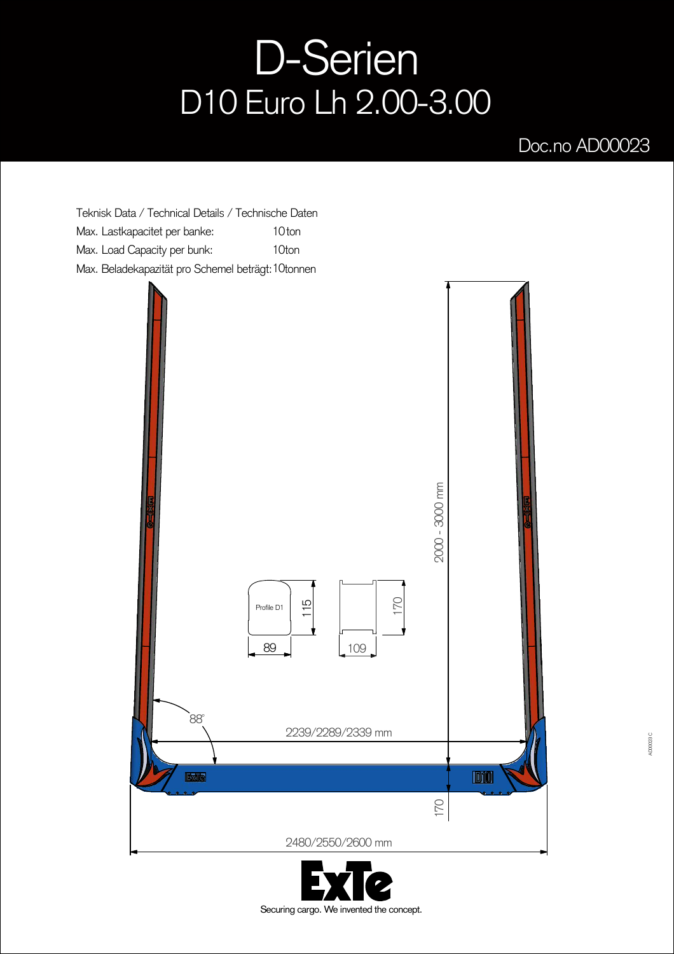## D-Serien D10 Euro Lh 2.00-3.00

## Doc.no AD00023

Teknisk Data / Technical Details / Technische Daten Max. Lastkapacitet per banke: Max. Load Capacity per bunk: Max. Beladekapazität pro Schemel beträgt: 1 Otonnen 10<sub>ton</sub> 10ton